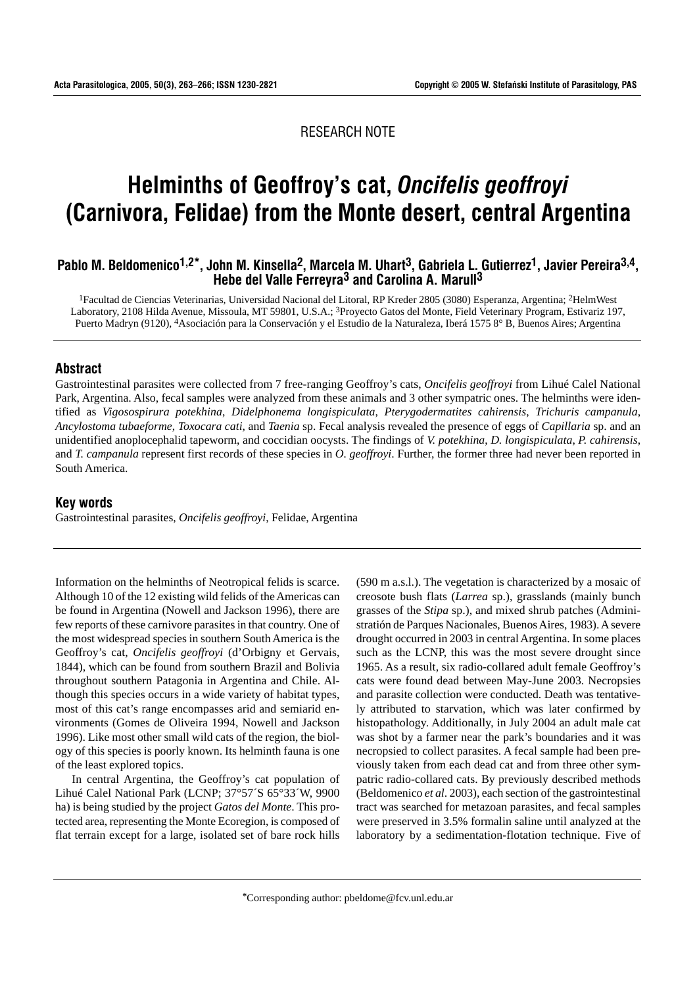RESEARCH NOTE

# (Carnivora, Felidae) from the Monte desert, central Argentina **Helminths of Geoffroy's cat,** *Oncifelis geoffroyi*

# Pablo M. Beldomenico<sup>1,2\*</sup>, John M. Kinsella<sup>2</sup>, Marcela M. Uhart<sup>3</sup>, Gabriela L. Gutierrez<sup>1</sup>, Javier Pereira<sup>3,4</sup>, **Hebe del Valle Ferreyra3 and Carolina A. Marull3**

1Facultad de Ciencias Veterinarias, Universidad Nacional del Litoral, RP Kreder 2805 (3080) Esperanza, Argentina; 2HelmWest Laboratory, 2108 Hilda Avenue, Missoula, MT 59801, U.S.A.; 3Proyecto Gatos del Monte, Field Veterinary Program, Estivariz 197, Puerto Madryn (9120), 4Asociación para la Conservación y el Estudio de la Naturaleza, Iberá 1575 8° B, Buenos Aires; Argentina

## **Abstract**

Gastrointestinal parasites were collected from 7 free-ranging Geoffroy's cats, *Oncifelis geoffroyi* from Lihué Calel National Park, Argentina. Also, fecal samples were analyzed from these animals and 3 other sympatric ones. The helminths were identified as *Vigosospirura potekhina*, *Didelphonema longispiculata*, *Pterygodermatites cahirensis*, *Trichuris campanula*, *Ancylostoma tubaeforme*, *Toxocara cati*, and *Taenia* sp. Fecal analysis revealed the presence of eggs of *Capillaria* sp. and an unidentified anoplocephalid tapeworm, and coccidian oocysts. The findings of *V. potekhina*, *D. longispiculata*, *P. cahirensis*, and *T. campanula* represent first records of these species in *O. geoffroyi*. Further, the former three had never been reported in South America.

#### **Key words**

Gastrointestinal parasites, *Oncifelis geoffroyi*, Felidae, Argentina

Information on the helminths of Neotropical felids is scarce. Although 10 of the 12 existing wild felids of the Americas can be found in Argentina (Nowell and Jackson 1996), there are few reports of these carnivore parasites in that country. One of the most widespread species in southern South America is the Geoffroy's cat, *Oncifelis geoffroyi* (d'Orbigny et Gervais, 1844), which can be found from southern Brazil and Bolivia throughout southern Patagonia in Argentina and Chile. Although this species occurs in a wide variety of habitat types, most of this cat's range encompasses arid and semiarid environments (Gomes de Oliveira 1994, Nowell and Jackson 1996). Like most other small wild cats of the region, the biology of this species is poorly known. Its helminth fauna is one of the least explored topics.

In central Argentina, the Geoffroy's cat population of Lihué Calel National Park (LCNP; 37°57´S 65°33´W, 9900 ha) is being studied by the project *Gatos del Monte*. This protected area, representing the Monte Ecoregion, is composed of flat terrain except for a large, isolated set of bare rock hills

(590 m a.s.l.). The vegetation is characterized by a mosaic of creosote bush flats (*Larrea* sp.), grasslands (mainly bunch grasses of the *Stipa* sp.), and mixed shrub patches (Administratión de Parques Nacionales, Buenos Aires, 1983). A severe drought occurred in 2003 in central Argentina. In some places such as the LCNP, this was the most severe drought since 1965. As a result, six radio-collared adult female Geoffroy's cats were found dead between May-June 2003. Necropsies and parasite collection were conducted. Death was tentatively attributed to starvation, which was later confirmed by histopathology. Additionally, in July 2004 an adult male cat was shot by a farmer near the park's boundaries and it was necropsied to collect parasites. A fecal sample had been previously taken from each dead cat and from three other sympatric radio-collared cats. By previously described methods (Beldomenico *et al*. 2003), each section of the gastrointestinal tract was searched for metazoan parasites, and fecal samples were preserved in 3.5% formalin saline until analyzed at the laboratory by a sedimentation-flotation technique. Five of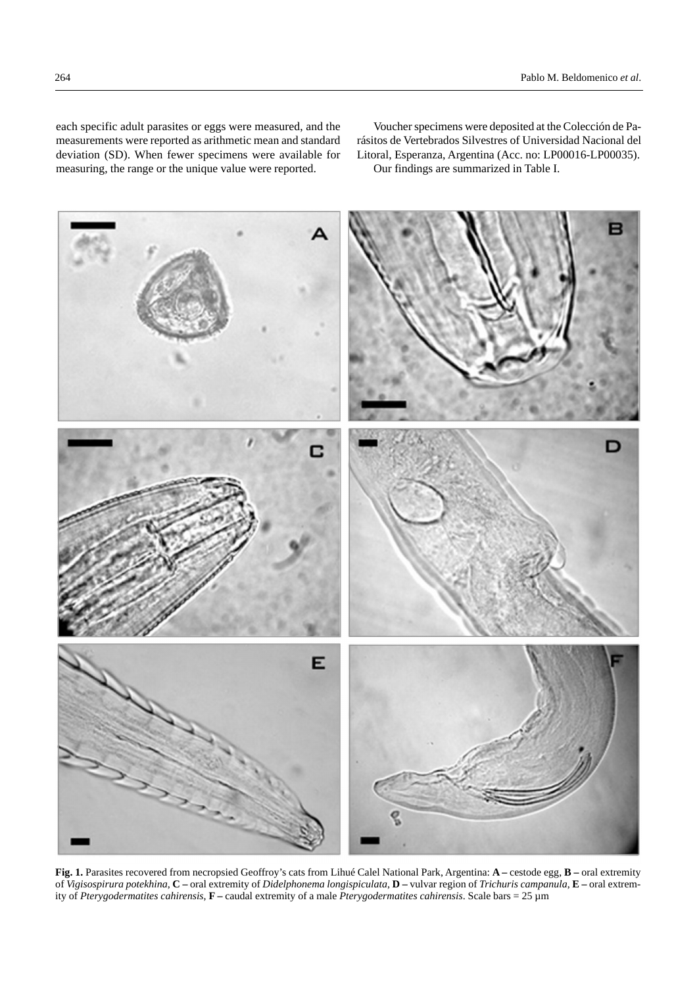each specific adult parasites or eggs were measured, and the measurements were reported as arithmetic mean and standard deviation (SD). When fewer specimens were available for measuring, the range or the unique value were reported.

Voucher specimens were deposited at the Colección de Parásitos de Vertebrados Silvestres of Universidad Nacional del Litoral, Esperanza, Argentina (Acc. no: LP00016-LP00035). Our findings are summarized in Table I.



**Fig. 1.** Parasites recovered from necropsied Geoffroy's cats from Lihué Calel National Park, Argentina: **A –** cestode egg, **B –** oral extremity of *Vigisospirura potekhina*, **C –** oral extremity of *Didelphonema longispiculata*, **D –** vulvar region of *Trichuris campanula*, **E –** oral extremity of *Pterygodermatites cahirensis*, **F –** caudal extremity of a male *Pterygodermatites cahirensis*. Scale bars = 25 µm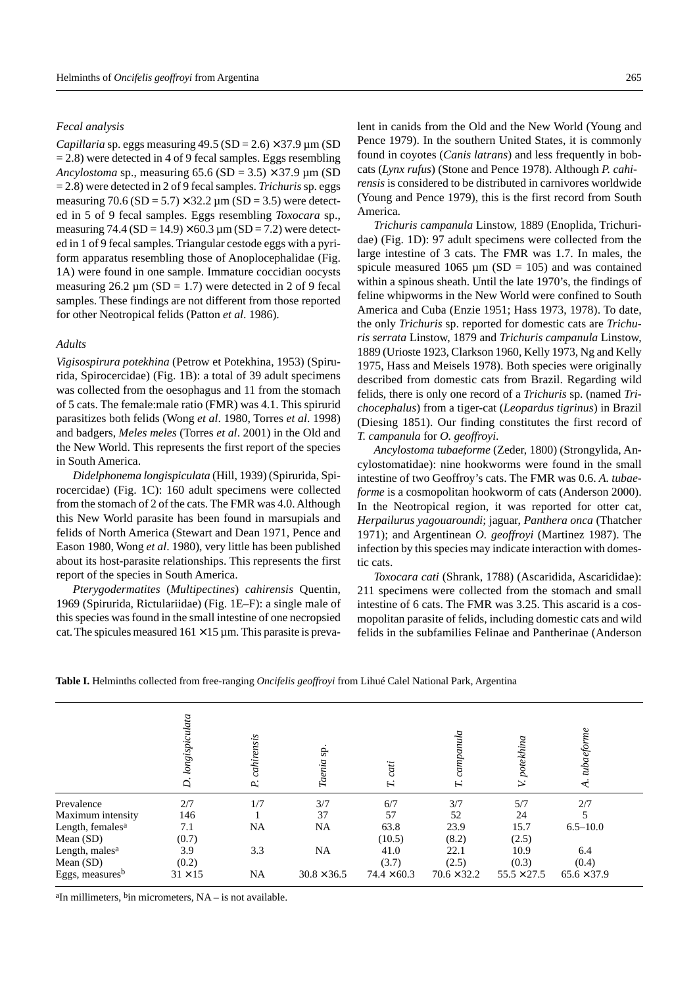#### *Fecal analysis*

*Capillaria* sp. eggs measuring  $49.5$  (SD = 2.6)  $\times$  37.9 µm (SD)  $= 2.8$ ) were detected in 4 of 9 fecal samples. Eggs resembling *Ancylostoma* sp., measuring  $65.6$  (SD =  $3.5$ )  $\times$  37.9  $\mu$ m (SD = 2.8) were detected in 2 of 9 fecal samples. *Trichuris* sp. eggs measuring  $70.6$  (SD = 5.7)  $\times$  32.2  $\mu$ m (SD = 3.5) were detected in 5 of 9 fecal samples. Eggs resembling *Toxocara* sp., measuring 74.4 (SD =  $14.9$ ) × 60.3  $\mu$ m (SD = 7.2) were detected in 1 of 9 fecal samples. Triangular cestode eggs with a pyriform apparatus resembling those of Anoplocephalidae (Fig. 1A) were found in one sample. Immature coccidian oocysts measuring  $26.2 \mu m (SD = 1.7)$  were detected in 2 of 9 fecal samples. These findings are not different from those reported for other Neotropical felids (Patton *et al*. 1986).

#### *Adults*

*Vigisospirura potekhina* (Petrow et Potekhina, 1953) (Spirurida, Spirocercidae) (Fig. 1B): a total of 39 adult specimens was collected from the oesophagus and 11 from the stomach of 5 cats. The female:male ratio (FMR) was 4.1. This spirurid parasitizes both felids (Wong *et al*. 1980, Torres *et al*. 1998) and badgers, *Meles meles* (Torres *et al*. 2001) in the Old and the New World. This represents the first report of the species in South America.

*Didelphonema longispiculata* (Hill, 1939) (Spirurida, Spirocercidae) (Fig. 1C): 160 adult specimens were collected from the stomach of 2 of the cats. The FMR was 4.0. Although this New World parasite has been found in marsupials and felids of North America (Stewart and Dean 1971, Pence and Eason 1980, Wong *et al*. 1980), very little has been published about its host-parasite relationships. This represents the first report of the species in South America.

*Pterygodermatites* (*Multipectines*) *cahirensis* Quentin, 1969 (Spirurida, Rictulariidae) (Fig. 1E–F): a single male of this species was found in the small intestine of one necropsied cat. The spicules measured  $161 \times 15$  µm. This parasite is prevalent in canids from the Old and the New World (Young and Pence 1979). In the southern United States, it is commonly found in coyotes (*Canis latrans*) and less frequently in bobcats (*Lynx rufus*) (Stone and Pence 1978). Although *P. cahirensis* is considered to be distributed in carnivores worldwide (Young and Pence 1979), this is the first record from South America.

*Trichuris campanula* Linstow, 1889 (Enoplida, Trichuridae) (Fig. 1D): 97 adult specimens were collected from the large intestine of 3 cats. The FMR was 1.7. In males, the spicule measured 1065  $\mu$ m (SD = 105) and was contained within a spinous sheath. Until the late 1970's, the findings of feline whipworms in the New World were confined to South America and Cuba (Enzie 1951; Hass 1973, 1978). To date, the only *Trichuris* sp. reported for domestic cats are *Trichuris serrata* Linstow, 1879 and *Trichuris campanula* Linstow, 1889 (Urioste 1923, Clarkson 1960, Kelly 1973, Ng and Kelly 1975, Hass and Meisels 1978). Both species were originally described from domestic cats from Brazil. Regarding wild felids, there is only one record of a *Trichuris* sp. (named *Trichocephalus*) from a tiger-cat (*Leopardus tigrinus*) in Brazil (Diesing 1851). Our finding constitutes the first record of *T. campanula* for *O. geoffroyi*.

*Ancylostoma tubaeforme* (Zeder, 1800) (Strongylida, Ancylostomatidae): nine hookworms were found in the small intestine of two Geoffroy's cats. The FMR was 0.6. *A. tubaeforme* is a cosmopolitan hookworm of cats (Anderson 2000). In the Neotropical region, it was reported for otter cat, *Herpailurus yagouaroundi*; jaguar, *Panthera onca* (Thatcher 1971); and Argentinean *O. geoffroyi* (Martinez 1987). The infection by this species may indicate interaction with domestic cats.

*Toxocara cati* (Shrank, 1788) (Ascaridida, Ascarididae): 211 specimens were collected from the stomach and small intestine of 6 cats. The FMR was 3.25. This ascarid is a cosmopolitan parasite of felids, including domestic cats and wild felids in the subfamilies Felinae and Pantherinae (Anderson

|                              | longispiculata<br>$\overline{D}$ | cahirensis<br>P. | Taenia sp.         | cati<br>$\mathbf{H}$ | capaula<br>Ĩ.      | potekhina<br>$\geq$ | tubaefor<br>$\overline{\mathcal{A}}$ . |
|------------------------------|----------------------------------|------------------|--------------------|----------------------|--------------------|---------------------|----------------------------------------|
| Prevalence                   | 2/7                              | 1/7              | 3/7                | 6/7                  | 3/7                | 5/7                 | 2/7                                    |
| Maximum intensity            | 146                              |                  | 37                 | 57                   | 52                 | 24                  |                                        |
| Length, females <sup>a</sup> | 7.1                              | NA               | NA                 | 63.8                 | 23.9               | 15.7                | $6.5 - 10.0$                           |
| Mean $(SD)$                  | (0.7)                            |                  |                    | (10.5)               | (8.2)              | (2.5)               |                                        |
| Length, males <sup>a</sup>   | 3.9                              | 3.3              | NA                 | 41.0                 | 22.1               | 10.9                | 6.4                                    |
| Mean $(SD)$                  | (0.2)                            |                  |                    | (3.7)                | (2.5)              | (0.3)               | (0.4)                                  |
| Eggs, measuresb              | $31 \times 15$                   | NA               | $30.8 \times 36.5$ | $74.4 \times 60.3$   | $70.6 \times 32.2$ | $55.5 \times 27.5$  | $65.6 \times 37.9$                     |